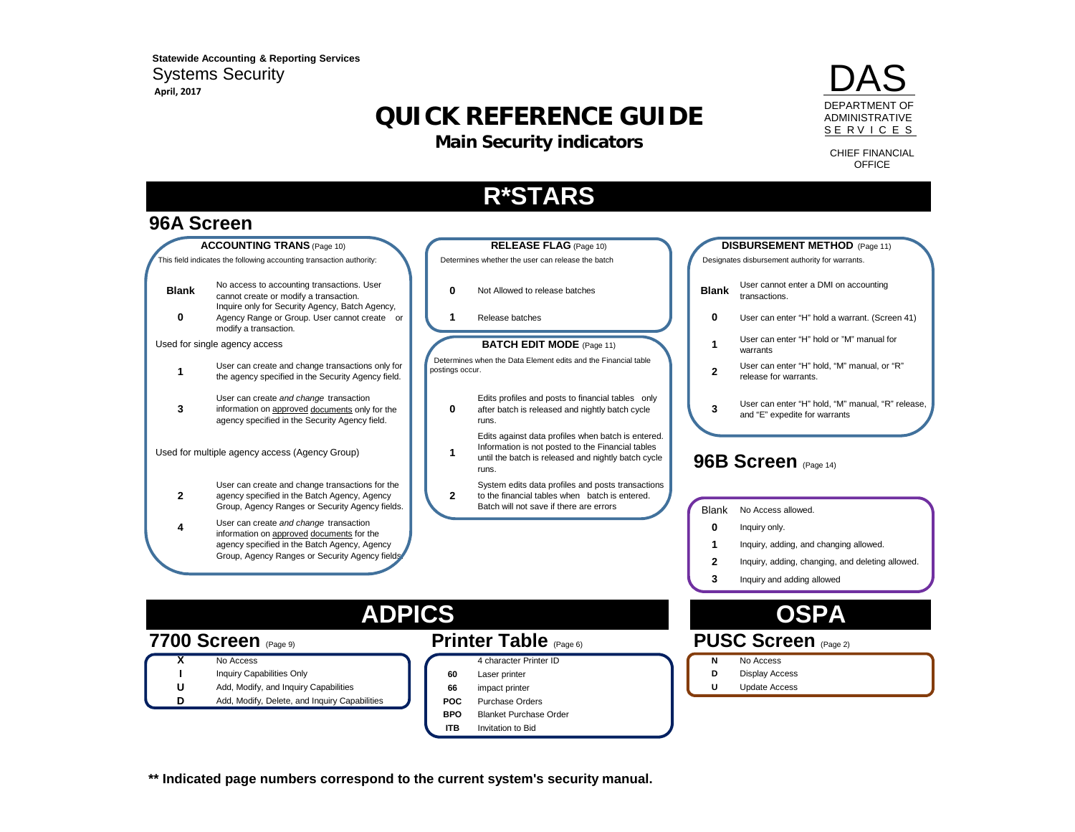**April, 2017 Statewide Accounting & Reporting Services**  Systems Security

# **QUICK REFERENCE GUIDE**

**Main Security indicators**



CHIEF FINANCIAL **OFFICE** 

# **R\*STARS**

### **96A Screen**



- **1**Inquiry, adding, and changing allowed.
- **2**Inquiry, adding, changing, and deleting allowed.
- **3**Inquiry and adding allowed

- -
	-

## **ADPICS OSPA**

### **7700 Screen** (Page 9) **Printer Table** (Page 6) **PUSC Screen** (Page 2)

**X**No Access **No. 2008 No. 2008 No. 2008 No. 2008 N** No Access **No. 2008 N** No Access **No. 2008 N** No Access **No. 2008 N** No. 2008

**I**

- Inquiry Capabilities Only **60** Laser printer **D** Display Access **D** Display Access
- **U**Add, Modify, and Inquiry Capabilities **66** impact printer **1996 1997 U** Update Access
- **D**Add, Modify, Delete, and Inquiry Capabilities **POC** Purchase Orders

agency specified in the Batch Agency, Agency Group, Agency Ranges or Security Agency fields.

- 
- **BPO**Blanket Purchase Order
- **ITB**Invitation to Bid

**\*\* Indicated page numbers correspond to the current system's security manual.**